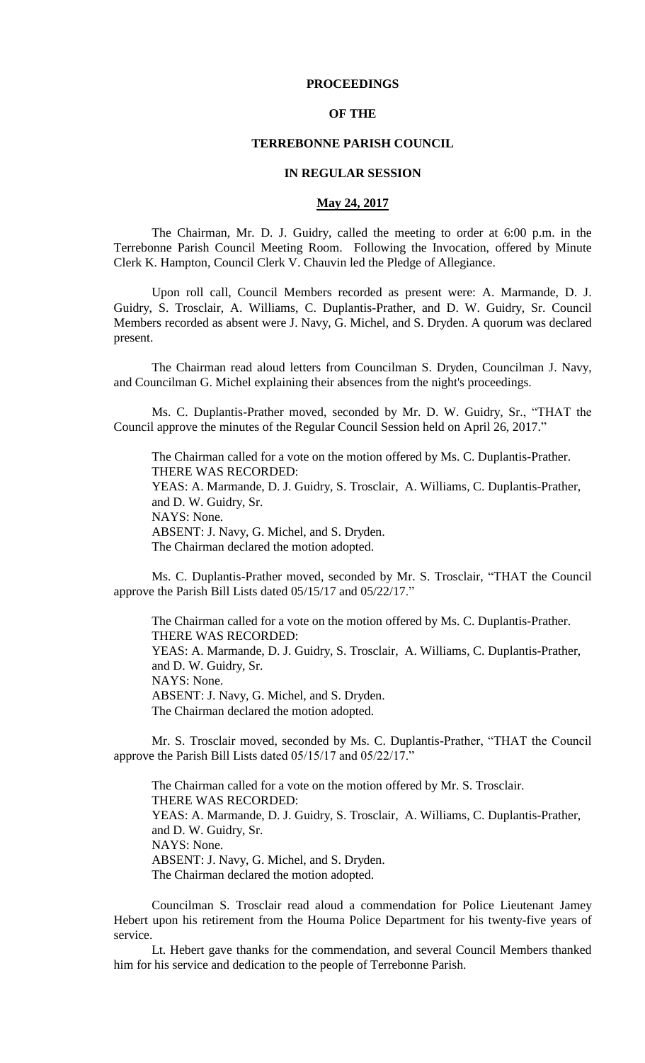## **PROCEEDINGS**

### **OF THE**

## **TERREBONNE PARISH COUNCIL**

### **IN REGULAR SESSION**

### **May 24, 2017**

The Chairman, Mr. D. J. Guidry, called the meeting to order at 6:00 p.m. in the Terrebonne Parish Council Meeting Room. Following the Invocation, offered by Minute Clerk K. Hampton, Council Clerk V. Chauvin led the Pledge of Allegiance.

Upon roll call, Council Members recorded as present were: A. Marmande, D. J. Guidry, S. Trosclair, A. Williams, C. Duplantis-Prather, and D. W. Guidry, Sr. Council Members recorded as absent were J. Navy, G. Michel, and S. Dryden. A quorum was declared present.

The Chairman read aloud letters from Councilman S. Dryden, Councilman J. Navy, and Councilman G. Michel explaining their absences from the night's proceedings.

Ms. C. Duplantis-Prather moved, seconded by Mr. D. W. Guidry, Sr., "THAT the Council approve the minutes of the Regular Council Session held on April 26, 2017."

The Chairman called for a vote on the motion offered by Ms. C. Duplantis-Prather. THERE WAS RECORDED:

YEAS: A. Marmande, D. J. Guidry, S. Trosclair, A. Williams, C. Duplantis-Prather, and D. W. Guidry, Sr. NAYS: None.

ABSENT: J. Navy, G. Michel, and S. Dryden. The Chairman declared the motion adopted.

Ms. C. Duplantis-Prather moved, seconded by Mr. S. Trosclair, "THAT the Council approve the Parish Bill Lists dated 05/15/17 and 05/22/17."

The Chairman called for a vote on the motion offered by Ms. C. Duplantis-Prather. THERE WAS RECORDED: YEAS: A. Marmande, D. J. Guidry, S. Trosclair, A. Williams, C. Duplantis-Prather, and D. W. Guidry, Sr. NAYS: None. ABSENT: J. Navy, G. Michel, and S. Dryden. The Chairman declared the motion adopted.

Mr. S. Trosclair moved, seconded by Ms. C. Duplantis-Prather, "THAT the Council approve the Parish Bill Lists dated 05/15/17 and 05/22/17."

The Chairman called for a vote on the motion offered by Mr. S. Trosclair. THERE WAS RECORDED: YEAS: A. Marmande, D. J. Guidry, S. Trosclair, A. Williams, C. Duplantis-Prather, and D. W. Guidry, Sr. NAYS: None. ABSENT: J. Navy, G. Michel, and S. Dryden. The Chairman declared the motion adopted.

Councilman S. Trosclair read aloud a commendation for Police Lieutenant Jamey Hebert upon his retirement from the Houma Police Department for his twenty-five years of service.

Lt. Hebert gave thanks for the commendation, and several Council Members thanked him for his service and dedication to the people of Terrebonne Parish.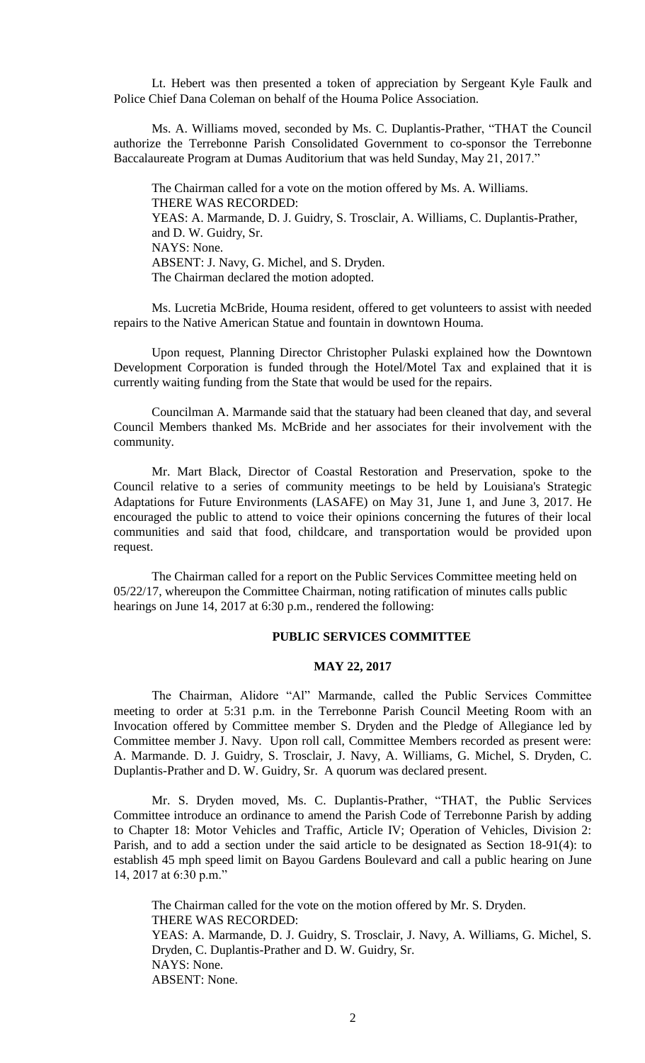Lt. Hebert was then presented a token of appreciation by Sergeant Kyle Faulk and Police Chief Dana Coleman on behalf of the Houma Police Association.

Ms. A. Williams moved, seconded by Ms. C. Duplantis-Prather, "THAT the Council authorize the Terrebonne Parish Consolidated Government to co-sponsor the Terrebonne Baccalaureate Program at Dumas Auditorium that was held Sunday, May 21, 2017."

The Chairman called for a vote on the motion offered by Ms. A. Williams. THERE WAS RECORDED: YEAS: A. Marmande, D. J. Guidry, S. Trosclair, A. Williams, C. Duplantis-Prather, and D. W. Guidry, Sr. NAYS: None. ABSENT: J. Navy, G. Michel, and S. Dryden. The Chairman declared the motion adopted.

Ms. Lucretia McBride, Houma resident, offered to get volunteers to assist with needed repairs to the Native American Statue and fountain in downtown Houma.

Upon request, Planning Director Christopher Pulaski explained how the Downtown Development Corporation is funded through the Hotel/Motel Tax and explained that it is currently waiting funding from the State that would be used for the repairs.

Councilman A. Marmande said that the statuary had been cleaned that day, and several Council Members thanked Ms. McBride and her associates for their involvement with the community.

Mr. Mart Black, Director of Coastal Restoration and Preservation, spoke to the Council relative to a series of community meetings to be held by Louisiana's Strategic Adaptations for Future Environments (LASAFE) on May 31, June 1, and June 3, 2017. He encouraged the public to attend to voice their opinions concerning the futures of their local communities and said that food, childcare, and transportation would be provided upon request.

The Chairman called for a report on the Public Services Committee meeting held on 05/22/17, whereupon the Committee Chairman, noting ratification of minutes calls public hearings on June 14, 2017 at 6:30 p.m., rendered the following:

## **PUBLIC SERVICES COMMITTEE**

## **MAY 22, 2017**

The Chairman, Alidore "Al" Marmande, called the Public Services Committee meeting to order at 5:31 p.m. in the Terrebonne Parish Council Meeting Room with an Invocation offered by Committee member S. Dryden and the Pledge of Allegiance led by Committee member J. Navy. Upon roll call, Committee Members recorded as present were: A. Marmande. D. J. Guidry, S. Trosclair, J. Navy, A. Williams, G. Michel, S. Dryden, C. Duplantis-Prather and D. W. Guidry, Sr. A quorum was declared present.

Mr. S. Dryden moved, Ms. C. Duplantis-Prather, "THAT, the Public Services Committee introduce an ordinance to amend the Parish Code of Terrebonne Parish by adding to Chapter 18: Motor Vehicles and Traffic, Article IV; Operation of Vehicles, Division 2: Parish, and to add a section under the said article to be designated as Section 18-91(4): to establish 45 mph speed limit on Bayou Gardens Boulevard and call a public hearing on June 14, 2017 at 6:30 p.m."

The Chairman called for the vote on the motion offered by Mr. S. Dryden. THERE WAS RECORDED: YEAS: A. Marmande, D. J. Guidry, S. Trosclair, J. Navy, A. Williams, G. Michel, S. Dryden, C. Duplantis-Prather and D. W. Guidry, Sr. NAYS: None. ABSENT: None.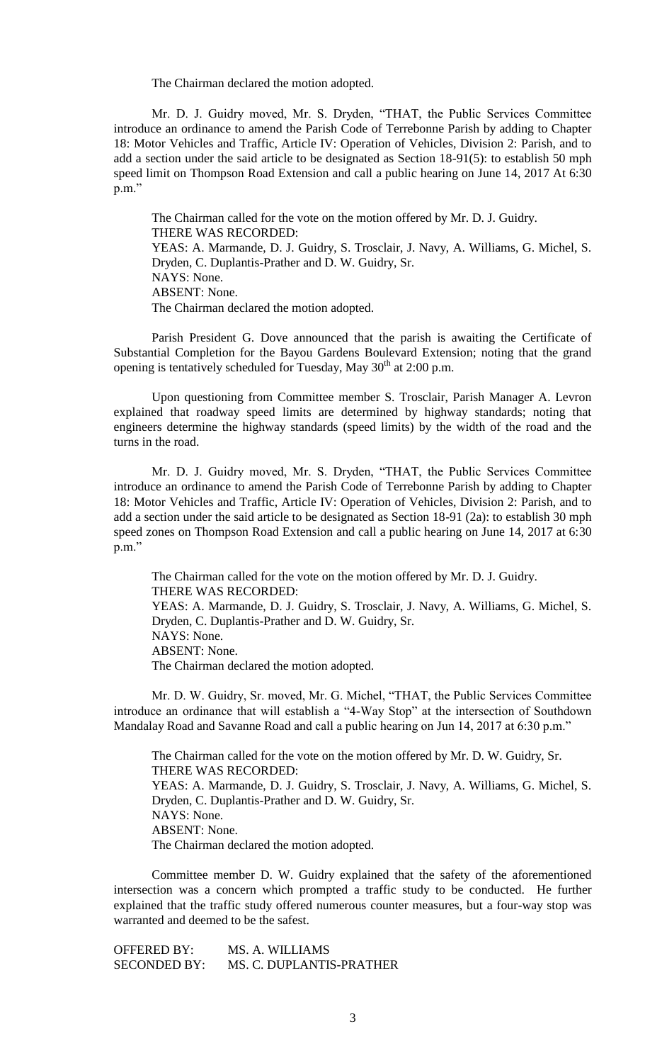The Chairman declared the motion adopted.

Mr. D. J. Guidry moved, Mr. S. Dryden, "THAT, the Public Services Committee introduce an ordinance to amend the Parish Code of Terrebonne Parish by adding to Chapter 18: Motor Vehicles and Traffic, Article IV: Operation of Vehicles, Division 2: Parish, and to add a section under the said article to be designated as Section 18-91(5): to establish 50 mph speed limit on Thompson Road Extension and call a public hearing on June 14, 2017 At 6:30 p.m."

The Chairman called for the vote on the motion offered by Mr. D. J. Guidry. THERE WAS RECORDED: YEAS: A. Marmande, D. J. Guidry, S. Trosclair, J. Navy, A. Williams, G. Michel, S. Dryden, C. Duplantis-Prather and D. W. Guidry, Sr. NAYS: None. ABSENT: None. The Chairman declared the motion adopted.

Parish President G. Dove announced that the parish is awaiting the Certificate of Substantial Completion for the Bayou Gardens Boulevard Extension; noting that the grand opening is tentatively scheduled for Tuesday, May  $30<sup>th</sup>$  at 2:00 p.m.

Upon questioning from Committee member S. Trosclair, Parish Manager A. Levron explained that roadway speed limits are determined by highway standards; noting that engineers determine the highway standards (speed limits) by the width of the road and the turns in the road.

Mr. D. J. Guidry moved, Mr. S. Dryden, "THAT, the Public Services Committee introduce an ordinance to amend the Parish Code of Terrebonne Parish by adding to Chapter 18: Motor Vehicles and Traffic, Article IV: Operation of Vehicles, Division 2: Parish, and to add a section under the said article to be designated as Section 18-91 (2a): to establish 30 mph speed zones on Thompson Road Extension and call a public hearing on June 14, 2017 at 6:30 p.m."

The Chairman called for the vote on the motion offered by Mr. D. J. Guidry. THERE WAS RECORDED: YEAS: A. Marmande, D. J. Guidry, S. Trosclair, J. Navy, A. Williams, G. Michel, S. Dryden, C. Duplantis-Prather and D. W. Guidry, Sr. NAYS: None. ABSENT: None. The Chairman declared the motion adopted.

Mr. D. W. Guidry, Sr. moved, Mr. G. Michel, "THAT, the Public Services Committee introduce an ordinance that will establish a "4-Way Stop" at the intersection of Southdown Mandalay Road and Savanne Road and call a public hearing on Jun 14, 2017 at 6:30 p.m."

The Chairman called for the vote on the motion offered by Mr. D. W. Guidry, Sr. THERE WAS RECORDED: YEAS: A. Marmande, D. J. Guidry, S. Trosclair, J. Navy, A. Williams, G. Michel, S. Dryden, C. Duplantis-Prather and D. W. Guidry, Sr. NAYS: None. ABSENT: None. The Chairman declared the motion adopted.

Committee member D. W. Guidry explained that the safety of the aforementioned intersection was a concern which prompted a traffic study to be conducted. He further explained that the traffic study offered numerous counter measures, but a four-way stop was warranted and deemed to be the safest.

OFFERED BY: MS. A. WILLIAMS SECONDED BY: MS. C. DUPLANTIS-PRATHER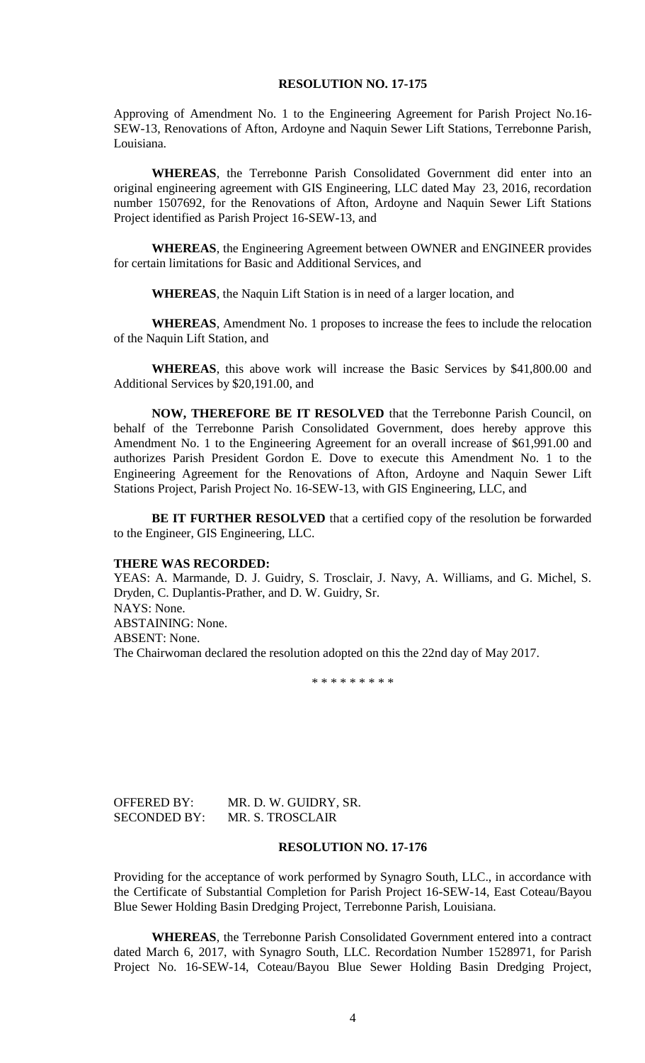#### **RESOLUTION NO. 17-175**

Approving of Amendment No. 1 to the Engineering Agreement for Parish Project No.16- SEW-13, Renovations of Afton, Ardoyne and Naquin Sewer Lift Stations, Terrebonne Parish, Louisiana.

**WHEREAS**, the Terrebonne Parish Consolidated Government did enter into an original engineering agreement with GIS Engineering, LLC dated May 23, 2016, recordation number 1507692, for the Renovations of Afton, Ardoyne and Naquin Sewer Lift Stations Project identified as Parish Project 16-SEW-13, and

**WHEREAS**, the Engineering Agreement between OWNER and ENGINEER provides for certain limitations for Basic and Additional Services, and

**WHEREAS**, the Naquin Lift Station is in need of a larger location, and

**WHEREAS**, Amendment No. 1 proposes to increase the fees to include the relocation of the Naquin Lift Station, and

**WHEREAS**, this above work will increase the Basic Services by \$41,800.00 and Additional Services by \$20,191.00, and

**NOW, THEREFORE BE IT RESOLVED** that the Terrebonne Parish Council, on behalf of the Terrebonne Parish Consolidated Government, does hereby approve this Amendment No. 1 to the Engineering Agreement for an overall increase of \$61,991.00 and authorizes Parish President Gordon E. Dove to execute this Amendment No. 1 to the Engineering Agreement for the Renovations of Afton, Ardoyne and Naquin Sewer Lift Stations Project, Parish Project No. 16-SEW-13, with GIS Engineering, LLC, and

**BE IT FURTHER RESOLVED** that a certified copy of the resolution be forwarded to the Engineer, GIS Engineering, LLC.

#### **THERE WAS RECORDED:**

YEAS: A. Marmande, D. J. Guidry, S. Trosclair, J. Navy, A. Williams, and G. Michel, S. Dryden, C. Duplantis-Prather, and D. W. Guidry, Sr. NAYS: None. ABSTAINING: None. ABSENT: None. The Chairwoman declared the resolution adopted on this the 22nd day of May 2017.

\* \* \* \* \* \* \* \* \*

| <b>OFFERED BY:</b>  | MR. D. W. GUIDRY, SR.   |
|---------------------|-------------------------|
| <b>SECONDED BY:</b> | <b>MR. S. TROSCLAIR</b> |

#### **RESOLUTION NO. 17-176**

Providing for the acceptance of work performed by Synagro South, LLC., in accordance with the Certificate of Substantial Completion for Parish Project 16-SEW-14, East Coteau/Bayou Blue Sewer Holding Basin Dredging Project, Terrebonne Parish, Louisiana.

**WHEREAS**, the Terrebonne Parish Consolidated Government entered into a contract dated March 6, 2017, with Synagro South, LLC. Recordation Number 1528971, for Parish Project No. 16-SEW-14, Coteau/Bayou Blue Sewer Holding Basin Dredging Project,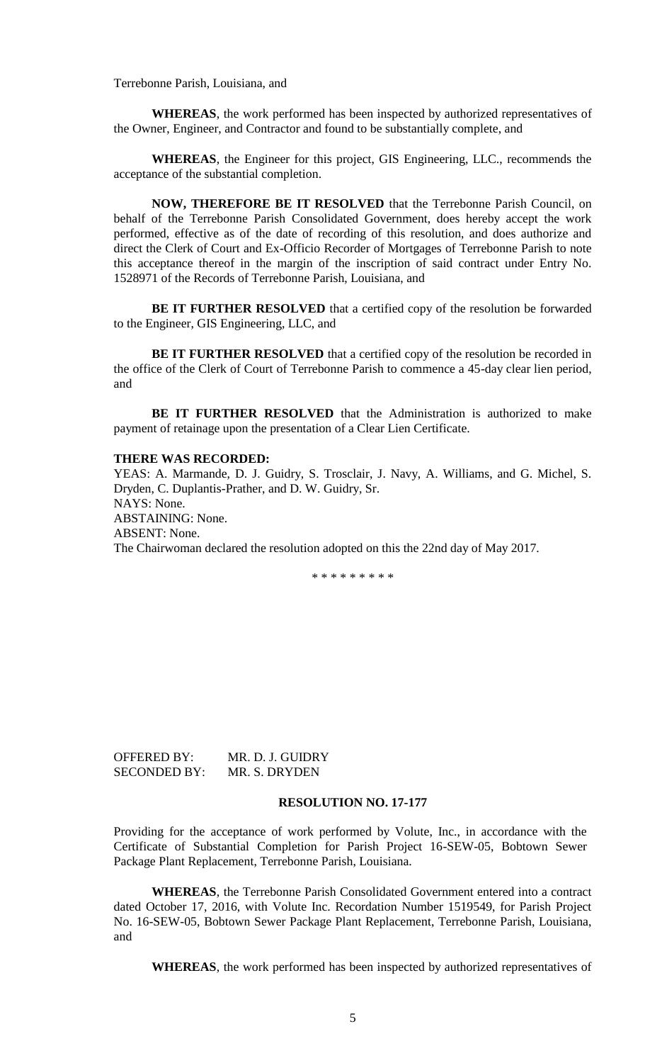Terrebonne Parish, Louisiana, and

**WHEREAS**, the work performed has been inspected by authorized representatives of the Owner, Engineer, and Contractor and found to be substantially complete, and

**WHEREAS**, the Engineer for this project, GIS Engineering, LLC., recommends the acceptance of the substantial completion.

**NOW, THEREFORE BE IT RESOLVED** that the Terrebonne Parish Council, on behalf of the Terrebonne Parish Consolidated Government, does hereby accept the work performed, effective as of the date of recording of this resolution, and does authorize and direct the Clerk of Court and Ex-Officio Recorder of Mortgages of Terrebonne Parish to note this acceptance thereof in the margin of the inscription of said contract under Entry No. 1528971 of the Records of Terrebonne Parish, Louisiana, and

**BE IT FURTHER RESOLVED** that a certified copy of the resolution be forwarded to the Engineer, GIS Engineering, LLC, and

**BE IT FURTHER RESOLVED** that a certified copy of the resolution be recorded in the office of the Clerk of Court of Terrebonne Parish to commence a 45-day clear lien period, and

**BE IT FURTHER RESOLVED** that the Administration is authorized to make payment of retainage upon the presentation of a Clear Lien Certificate.

#### **THERE WAS RECORDED:**

YEAS: A. Marmande, D. J. Guidry, S. Trosclair, J. Navy, A. Williams, and G. Michel, S. Dryden, C. Duplantis-Prather, and D. W. Guidry, Sr. NAYS: None. ABSTAINING: None. ABSENT: None. The Chairwoman declared the resolution adopted on this the 22nd day of May 2017.

\* \* \* \* \* \* \* \* \*

OFFERED BY: MR. D. J. GUIDRY SECONDED BY: MR. S. DRYDEN

## **RESOLUTION NO. 17-177**

Providing for the acceptance of work performed by Volute, Inc., in accordance with the Certificate of Substantial Completion for Parish Project 16-SEW-05, Bobtown Sewer Package Plant Replacement, Terrebonne Parish, Louisiana.

**WHEREAS**, the Terrebonne Parish Consolidated Government entered into a contract dated October 17, 2016, with Volute Inc. Recordation Number 1519549, for Parish Project No. 16-SEW-05, Bobtown Sewer Package Plant Replacement, Terrebonne Parish, Louisiana, and

**WHEREAS**, the work performed has been inspected by authorized representatives of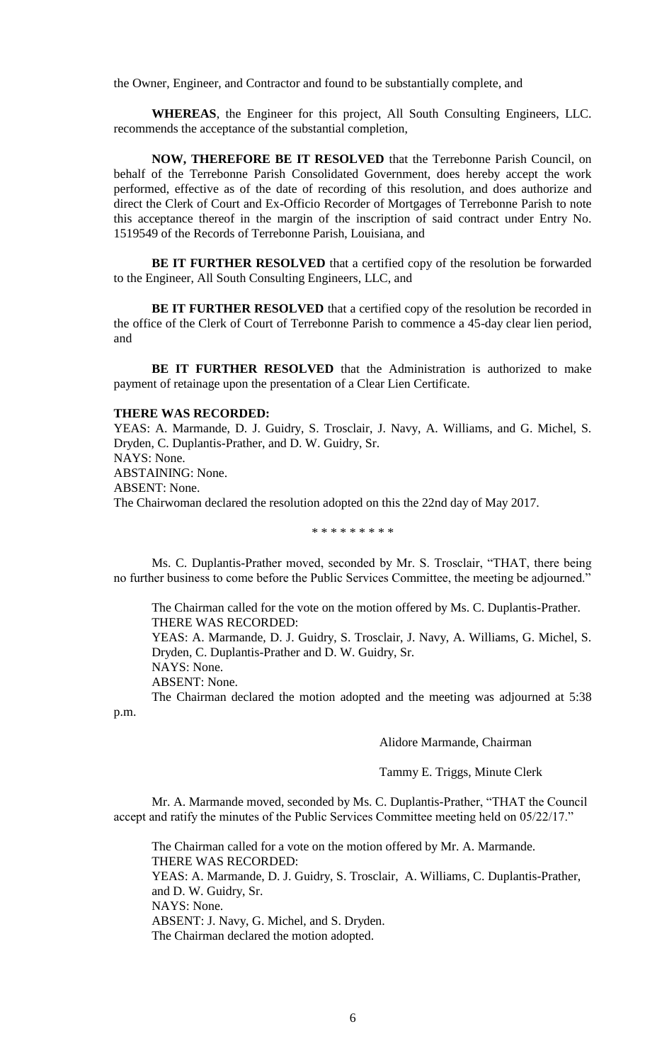the Owner, Engineer, and Contractor and found to be substantially complete, and

**WHEREAS**, the Engineer for this project, All South Consulting Engineers, LLC. recommends the acceptance of the substantial completion,

**NOW, THEREFORE BE IT RESOLVED** that the Terrebonne Parish Council, on behalf of the Terrebonne Parish Consolidated Government, does hereby accept the work performed, effective as of the date of recording of this resolution, and does authorize and direct the Clerk of Court and Ex-Officio Recorder of Mortgages of Terrebonne Parish to note this acceptance thereof in the margin of the inscription of said contract under Entry No. 1519549 of the Records of Terrebonne Parish, Louisiana, and

**BE IT FURTHER RESOLVED** that a certified copy of the resolution be forwarded to the Engineer, All South Consulting Engineers, LLC, and

**BE IT FURTHER RESOLVED** that a certified copy of the resolution be recorded in the office of the Clerk of Court of Terrebonne Parish to commence a 45-day clear lien period, and

**BE IT FURTHER RESOLVED** that the Administration is authorized to make payment of retainage upon the presentation of a Clear Lien Certificate.

## **THERE WAS RECORDED:**

YEAS: A. Marmande, D. J. Guidry, S. Trosclair, J. Navy, A. Williams, and G. Michel, S. Dryden, C. Duplantis-Prather, and D. W. Guidry, Sr. NAYS: None. ABSTAINING: None. ABSENT: None. The Chairwoman declared the resolution adopted on this the 22nd day of May 2017.

\* \* \* \* \* \* \* \* \*

Ms. C. Duplantis-Prather moved, seconded by Mr. S. Trosclair, "THAT, there being no further business to come before the Public Services Committee, the meeting be adjourned."

The Chairman called for the vote on the motion offered by Ms. C. Duplantis-Prather. THERE WAS RECORDED:

YEAS: A. Marmande, D. J. Guidry, S. Trosclair, J. Navy, A. Williams, G. Michel, S. Dryden, C. Duplantis-Prather and D. W. Guidry, Sr.

NAYS: None.

ABSENT: None.

p.m.

The Chairman declared the motion adopted and the meeting was adjourned at 5:38

Alidore Marmande, Chairman

Tammy E. Triggs, Minute Clerk

Mr. A. Marmande moved, seconded by Ms. C. Duplantis-Prather, "THAT the Council accept and ratify the minutes of the Public Services Committee meeting held on 05/22/17."

The Chairman called for a vote on the motion offered by Mr. A. Marmande. THERE WAS RECORDED: YEAS: A. Marmande, D. J. Guidry, S. Trosclair, A. Williams, C. Duplantis-Prather, and D. W. Guidry, Sr. NAYS: None. ABSENT: J. Navy, G. Michel, and S. Dryden. The Chairman declared the motion adopted.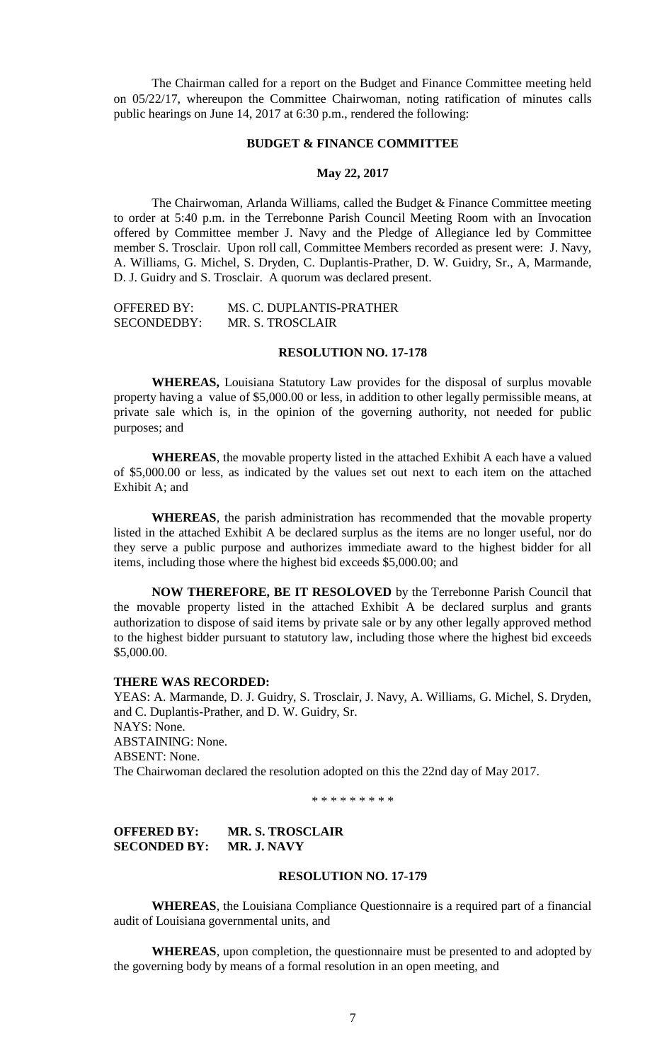The Chairman called for a report on the Budget and Finance Committee meeting held on 05/22/17, whereupon the Committee Chairwoman, noting ratification of minutes calls public hearings on June 14, 2017 at 6:30 p.m., rendered the following:

## **BUDGET & FINANCE COMMITTEE**

## **May 22, 2017**

The Chairwoman, Arlanda Williams, called the Budget & Finance Committee meeting to order at 5:40 p.m. in the Terrebonne Parish Council Meeting Room with an Invocation offered by Committee member J. Navy and the Pledge of Allegiance led by Committee member S. Trosclair. Upon roll call, Committee Members recorded as present were: J. Navy, A. Williams, G. Michel, S. Dryden, C. Duplantis-Prather, D. W. Guidry, Sr., A, Marmande, D. J. Guidry and S. Trosclair. A quorum was declared present.

| <b>OFFERED BY:</b> | MS. C. DUPLANTIS-PRATHER |
|--------------------|--------------------------|
| SECONDEDBY:        | MR. S. TROSCLAIR         |

## **RESOLUTION NO. 17-178**

**WHEREAS,** Louisiana Statutory Law provides for the disposal of surplus movable property having a value of \$5,000.00 or less, in addition to other legally permissible means, at private sale which is, in the opinion of the governing authority, not needed for public purposes; and

**WHEREAS**, the movable property listed in the attached Exhibit A each have a valued of \$5,000.00 or less, as indicated by the values set out next to each item on the attached Exhibit A; and

**WHEREAS**, the parish administration has recommended that the movable property listed in the attached Exhibit A be declared surplus as the items are no longer useful, nor do they serve a public purpose and authorizes immediate award to the highest bidder for all items, including those where the highest bid exceeds \$5,000.00; and

**NOW THEREFORE, BE IT RESOLOVED** by the Terrebonne Parish Council that the movable property listed in the attached Exhibit A be declared surplus and grants authorization to dispose of said items by private sale or by any other legally approved method to the highest bidder pursuant to statutory law, including those where the highest bid exceeds \$5,000.00.

#### **THERE WAS RECORDED:**

YEAS: A. Marmande, D. J. Guidry, S. Trosclair, J. Navy, A. Williams, G. Michel, S. Dryden, and C. Duplantis-Prather, and D. W. Guidry, Sr. NAYS: None. ABSTAINING: None. ABSENT: None. The Chairwoman declared the resolution adopted on this the 22nd day of May 2017.

\* \* \* \* \* \* \* \* \*

# **OFFERED BY: MR. S. TROSCLAIR SECONDED BY: MR. J. NAVY**

#### **RESOLUTION NO. 17-179**

**WHEREAS**, the Louisiana Compliance Questionnaire is a required part of a financial audit of Louisiana governmental units, and

**WHEREAS**, upon completion, the questionnaire must be presented to and adopted by the governing body by means of a formal resolution in an open meeting, and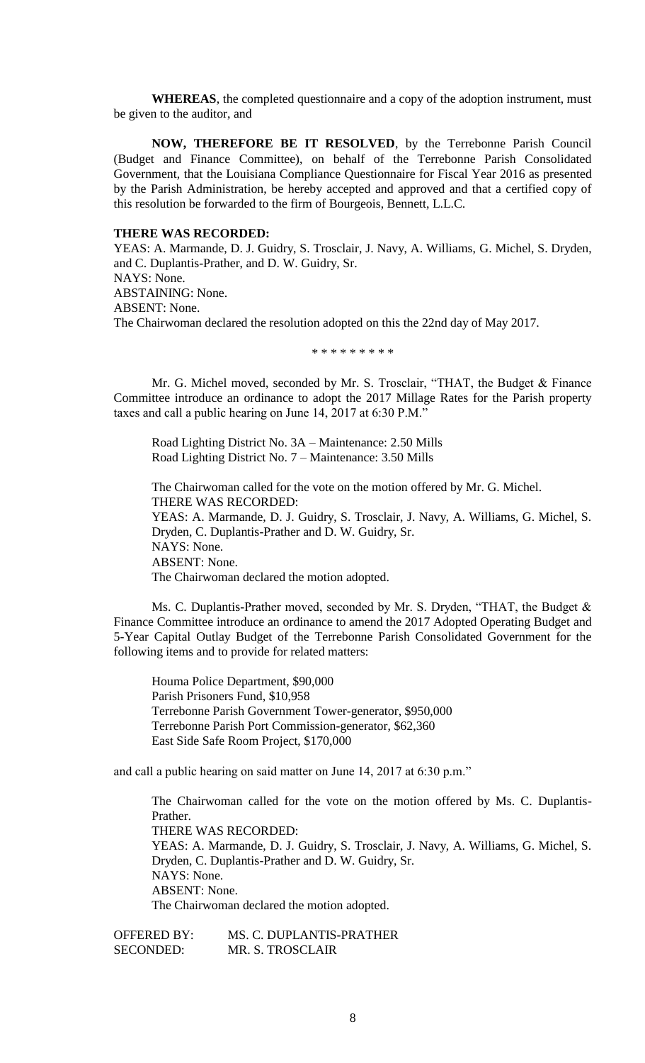**WHEREAS**, the completed questionnaire and a copy of the adoption instrument, must be given to the auditor, and

**NOW, THEREFORE BE IT RESOLVED**, by the Terrebonne Parish Council (Budget and Finance Committee), on behalf of the Terrebonne Parish Consolidated Government, that the Louisiana Compliance Questionnaire for Fiscal Year 2016 as presented by the Parish Administration, be hereby accepted and approved and that a certified copy of this resolution be forwarded to the firm of Bourgeois, Bennett, L.L.C.

#### **THERE WAS RECORDED:**

YEAS: A. Marmande, D. J. Guidry, S. Trosclair, J. Navy, A. Williams, G. Michel, S. Dryden, and C. Duplantis-Prather, and D. W. Guidry, Sr. NAYS: None. ABSTAINING: None. ABSENT: None. The Chairwoman declared the resolution adopted on this the 22nd day of May 2017.

\* \* \* \* \* \* \* \* \*

Mr. G. Michel moved, seconded by Mr. S. Trosclair, "THAT, the Budget & Finance Committee introduce an ordinance to adopt the 2017 Millage Rates for the Parish property taxes and call a public hearing on June 14, 2017 at 6:30 P.M."

Road Lighting District No. 3A – Maintenance: 2.50 Mills Road Lighting District No. 7 – Maintenance: 3.50 Mills

The Chairwoman called for the vote on the motion offered by Mr. G. Michel. THERE WAS RECORDED: YEAS: A. Marmande, D. J. Guidry, S. Trosclair, J. Navy, A. Williams, G. Michel, S. Dryden, C. Duplantis-Prather and D. W. Guidry, Sr. NAYS: None. ABSENT: None. The Chairwoman declared the motion adopted.

Ms. C. Duplantis-Prather moved, seconded by Mr. S. Dryden, "THAT, the Budget & Finance Committee introduce an ordinance to amend the 2017 Adopted Operating Budget and 5-Year Capital Outlay Budget of the Terrebonne Parish Consolidated Government for the following items and to provide for related matters:

Houma Police Department, \$90,000 Parish Prisoners Fund, \$10,958 Terrebonne Parish Government Tower-generator, \$950,000 Terrebonne Parish Port Commission-generator, \$62,360 East Side Safe Room Project, \$170,000

and call a public hearing on said matter on June 14, 2017 at 6:30 p.m."

The Chairwoman called for the vote on the motion offered by Ms. C. Duplantis-Prather. THERE WAS RECORDED: YEAS: A. Marmande, D. J. Guidry, S. Trosclair, J. Navy, A. Williams, G. Michel, S. Dryden, C. Duplantis-Prather and D. W. Guidry, Sr. NAYS: None. ABSENT: None. The Chairwoman declared the motion adopted.

OFFERED BY: MS. C. DUPLANTIS-PRATHER SECONDED: MR. S. TROSCLAIR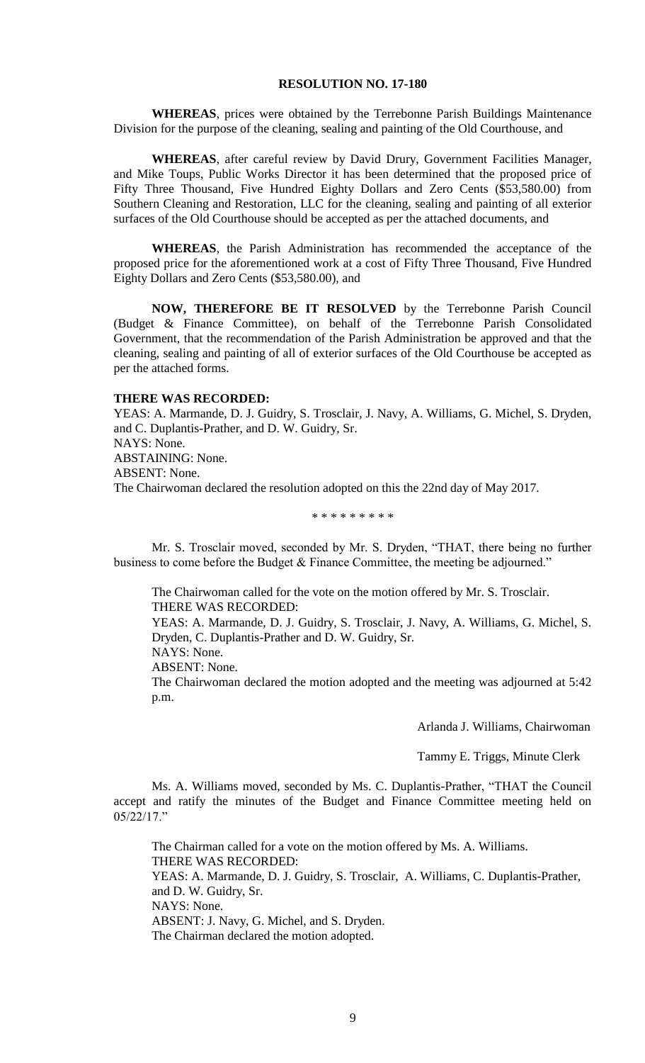#### **RESOLUTION NO. 17-180**

**WHEREAS**, prices were obtained by the Terrebonne Parish Buildings Maintenance Division for the purpose of the cleaning, sealing and painting of the Old Courthouse, and

**WHEREAS**, after careful review by David Drury, Government Facilities Manager, and Mike Toups, Public Works Director it has been determined that the proposed price of Fifty Three Thousand, Five Hundred Eighty Dollars and Zero Cents (\$53,580.00) from Southern Cleaning and Restoration, LLC for the cleaning, sealing and painting of all exterior surfaces of the Old Courthouse should be accepted as per the attached documents, and

**WHEREAS**, the Parish Administration has recommended the acceptance of the proposed price for the aforementioned work at a cost of Fifty Three Thousand, Five Hundred Eighty Dollars and Zero Cents (\$53,580.00), and

**NOW, THEREFORE BE IT RESOLVED** by the Terrebonne Parish Council (Budget & Finance Committee), on behalf of the Terrebonne Parish Consolidated Government, that the recommendation of the Parish Administration be approved and that the cleaning, sealing and painting of all of exterior surfaces of the Old Courthouse be accepted as per the attached forms.

#### **THERE WAS RECORDED:**

YEAS: A. Marmande, D. J. Guidry, S. Trosclair, J. Navy, A. Williams, G. Michel, S. Dryden, and C. Duplantis-Prather, and D. W. Guidry, Sr. NAYS: None. ABSTAINING: None. ABSENT: None. The Chairwoman declared the resolution adopted on this the 22nd day of May 2017.

\* \* \* \* \* \* \* \* \*

Mr. S. Trosclair moved, seconded by Mr. S. Dryden, "THAT, there being no further business to come before the Budget & Finance Committee, the meeting be adjourned."

The Chairwoman called for the vote on the motion offered by Mr. S. Trosclair. THERE WAS RECORDED:

YEAS: A. Marmande, D. J. Guidry, S. Trosclair, J. Navy, A. Williams, G. Michel, S. Dryden, C. Duplantis-Prather and D. W. Guidry, Sr.

NAYS: None.

ABSENT: None.

The Chairwoman declared the motion adopted and the meeting was adjourned at 5:42 p.m.

Arlanda J. Williams, Chairwoman

Tammy E. Triggs, Minute Clerk

Ms. A. Williams moved, seconded by Ms. C. Duplantis-Prather, "THAT the Council accept and ratify the minutes of the Budget and Finance Committee meeting held on 05/22/17."

The Chairman called for a vote on the motion offered by Ms. A. Williams. THERE WAS RECORDED: YEAS: A. Marmande, D. J. Guidry, S. Trosclair, A. Williams, C. Duplantis-Prather, and D. W. Guidry, Sr. NAYS: None. ABSENT: J. Navy, G. Michel, and S. Dryden. The Chairman declared the motion adopted.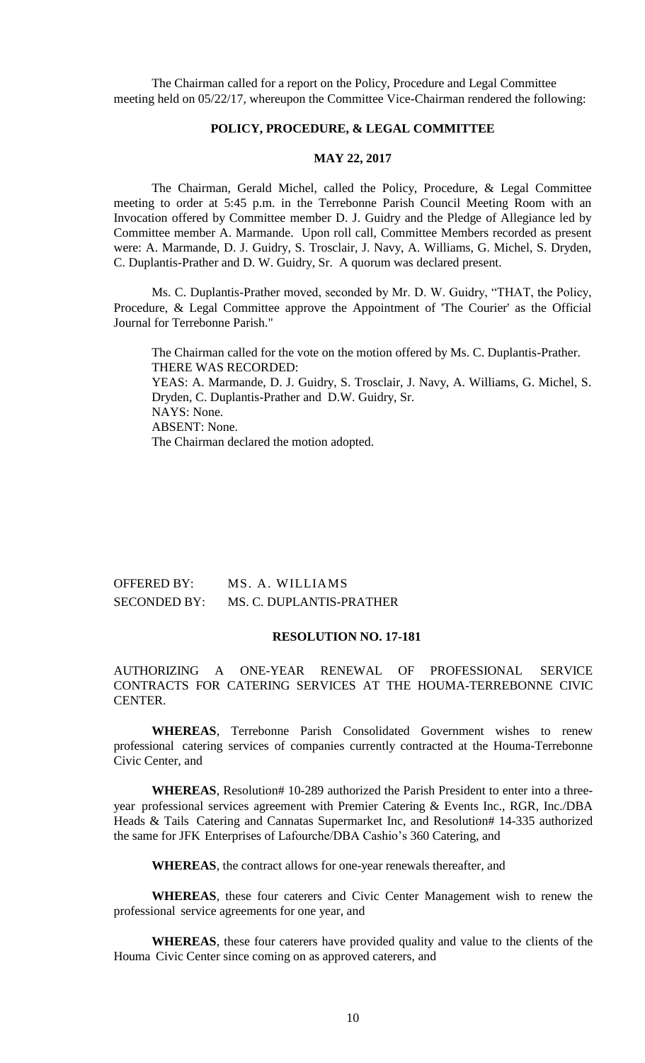The Chairman called for a report on the Policy, Procedure and Legal Committee meeting held on 05/22/17, whereupon the Committee Vice-Chairman rendered the following:

## **POLICY, PROCEDURE, & LEGAL COMMITTEE**

## **MAY 22, 2017**

The Chairman, Gerald Michel, called the Policy, Procedure, & Legal Committee meeting to order at 5:45 p.m. in the Terrebonne Parish Council Meeting Room with an Invocation offered by Committee member D. J. Guidry and the Pledge of Allegiance led by Committee member A. Marmande. Upon roll call, Committee Members recorded as present were: A. Marmande, D. J. Guidry, S. Trosclair, J. Navy, A. Williams, G. Michel, S. Dryden, C. Duplantis-Prather and D. W. Guidry, Sr. A quorum was declared present.

Ms. C. Duplantis-Prather moved, seconded by Mr. D. W. Guidry, "THAT, the Policy, Procedure, & Legal Committee approve the Appointment of 'The Courier' as the Official Journal for Terrebonne Parish."

The Chairman called for the vote on the motion offered by Ms. C. Duplantis-Prather. THERE WAS RECORDED: YEAS: A. Marmande, D. J. Guidry, S. Trosclair, J. Navy, A. Williams, G. Michel, S. Dryden, C. Duplantis-Prather and D.W. Guidry, Sr. NAYS: None. ABSENT: None. The Chairman declared the motion adopted.

OFFERED BY: MS. A. WILLIAMS SECONDED BY: MS. C. DUPLANTIS-PRATHER

# **RESOLUTION NO. 17-181**

AUTHORIZING A ONE-YEAR RENEWAL OF PROFESSIONAL SERVICE CONTRACTS FOR CATERING SERVICES AT THE HOUMA-TERREBONNE CIVIC CENTER.

**WHEREAS**, Terrebonne Parish Consolidated Government wishes to renew professional catering services of companies currently contracted at the Houma-Terrebonne Civic Center, and

**WHEREAS**, Resolution# 10-289 authorized the Parish President to enter into a threeyear professional services agreement with Premier Catering & Events Inc., RGR, Inc./DBA Heads & Tails Catering and Cannatas Supermarket Inc, and Resolution# 14-335 authorized the same for JFK Enterprises of Lafourche/DBA Cashio's 360 Catering, and

**WHEREAS**, the contract allows for one-year renewals thereafter, and

**WHEREAS**, these four caterers and Civic Center Management wish to renew the professional service agreements for one year, and

**WHEREAS**, these four caterers have provided quality and value to the clients of the Houma Civic Center since coming on as approved caterers, and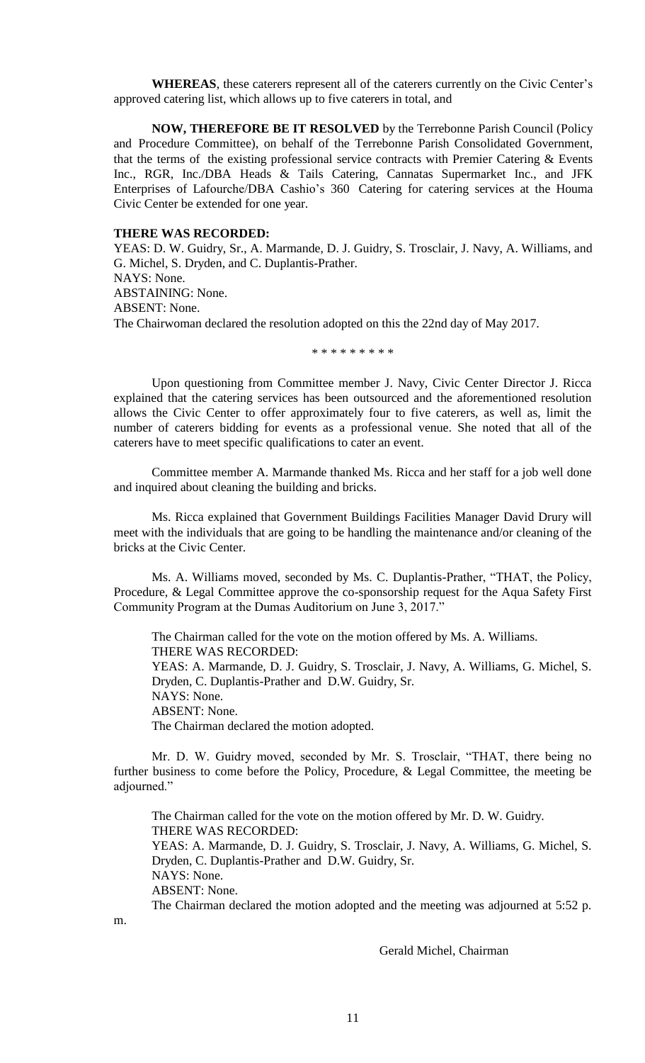**WHEREAS**, these caterers represent all of the caterers currently on the Civic Center's approved catering list, which allows up to five caterers in total, and

**NOW, THEREFORE BE IT RESOLVED** by the Terrebonne Parish Council (Policy and Procedure Committee), on behalf of the Terrebonne Parish Consolidated Government, that the terms of the existing professional service contracts with Premier Catering & Events Inc., RGR, Inc./DBA Heads & Tails Catering, Cannatas Supermarket Inc., and JFK Enterprises of Lafourche/DBA Cashio's 360 Catering for catering services at the Houma Civic Center be extended for one year.

#### **THERE WAS RECORDED:**

YEAS: D. W. Guidry, Sr., A. Marmande, D. J. Guidry, S. Trosclair, J. Navy, A. Williams, and G. Michel, S. Dryden, and C. Duplantis-Prather. NAYS: None. ABSTAINING: None. ABSENT: None. The Chairwoman declared the resolution adopted on this the 22nd day of May 2017.

\* \* \* \* \* \* \* \* \*

Upon questioning from Committee member J. Navy, Civic Center Director J. Ricca explained that the catering services has been outsourced and the aforementioned resolution allows the Civic Center to offer approximately four to five caterers, as well as, limit the number of caterers bidding for events as a professional venue. She noted that all of the caterers have to meet specific qualifications to cater an event.

Committee member A. Marmande thanked Ms. Ricca and her staff for a job well done and inquired about cleaning the building and bricks.

Ms. Ricca explained that Government Buildings Facilities Manager David Drury will meet with the individuals that are going to be handling the maintenance and/or cleaning of the bricks at the Civic Center.

 Ms. A. Williams moved, seconded by Ms. C. Duplantis-Prather, "THAT, the Policy, Procedure, & Legal Committee approve the co-sponsorship request for the Aqua Safety First Community Program at the Dumas Auditorium on June 3, 2017."

The Chairman called for the vote on the motion offered by Ms. A. Williams. THERE WAS RECORDED: YEAS: A. Marmande, D. J. Guidry, S. Trosclair, J. Navy, A. Williams, G. Michel, S. Dryden, C. Duplantis-Prather and D.W. Guidry, Sr. NAYS: None. ABSENT: None. The Chairman declared the motion adopted.

Mr. D. W. Guidry moved, seconded by Mr. S. Trosclair, "THAT, there being no further business to come before the Policy, Procedure, & Legal Committee, the meeting be adjourned."

The Chairman called for the vote on the motion offered by Mr. D. W. Guidry. THERE WAS RECORDED: YEAS: A. Marmande, D. J. Guidry, S. Trosclair, J. Navy, A. Williams, G. Michel, S. Dryden, C. Duplantis-Prather and D.W. Guidry, Sr. NAYS: None. ABSENT: None. The Chairman declared the motion adopted and the meeting was adjourned at 5:52 p.

m.

Gerald Michel, Chairman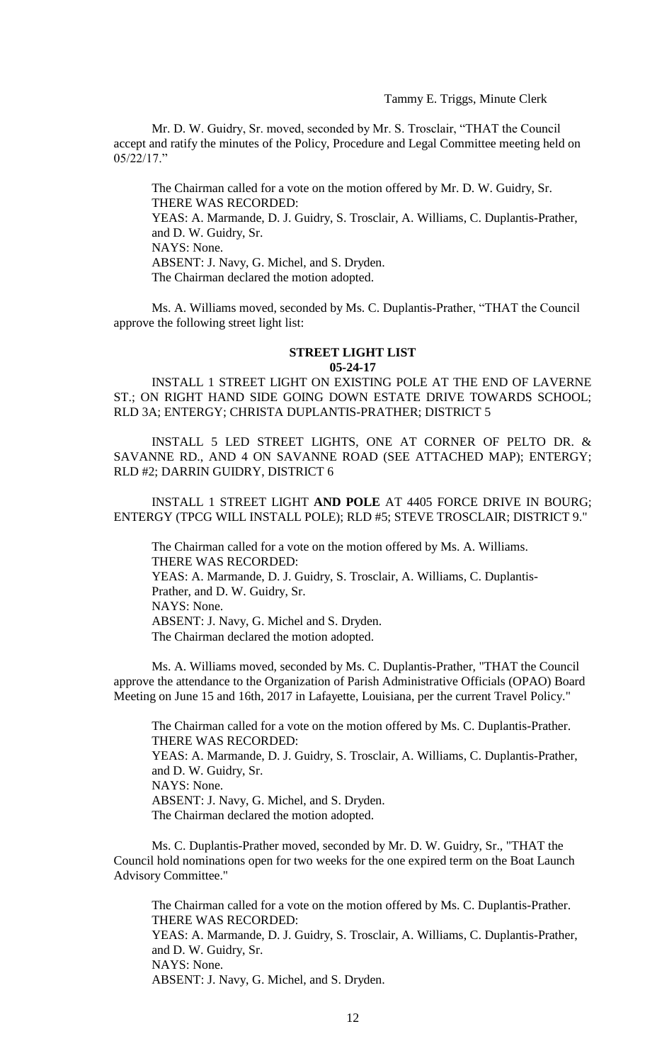Tammy E. Triggs, Minute Clerk

Mr. D. W. Guidry, Sr. moved, seconded by Mr. S. Trosclair, "THAT the Council accept and ratify the minutes of the Policy, Procedure and Legal Committee meeting held on 05/22/17."

The Chairman called for a vote on the motion offered by Mr. D. W. Guidry, Sr. THERE WAS RECORDED: YEAS: A. Marmande, D. J. Guidry, S. Trosclair, A. Williams, C. Duplantis-Prather, and D. W. Guidry, Sr. NAYS: None. ABSENT: J. Navy, G. Michel, and S. Dryden. The Chairman declared the motion adopted.

Ms. A. Williams moved, seconded by Ms. C. Duplantis-Prather, "THAT the Council approve the following street light list:

#### **STREET LIGHT LIST 05-24-17**

INSTALL 1 STREET LIGHT ON EXISTING POLE AT THE END OF LAVERNE ST.; ON RIGHT HAND SIDE GOING DOWN ESTATE DRIVE TOWARDS SCHOOL; RLD 3A; ENTERGY; CHRISTA DUPLANTIS-PRATHER; DISTRICT 5

INSTALL 5 LED STREET LIGHTS, ONE AT CORNER OF PELTO DR. & SAVANNE RD., AND 4 ON SAVANNE ROAD (SEE ATTACHED MAP); ENTERGY; RLD #2; DARRIN GUIDRY, DISTRICT 6

INSTALL 1 STREET LIGHT **AND POLE** AT 4405 FORCE DRIVE IN BOURG; ENTERGY (TPCG WILL INSTALL POLE); RLD #5; STEVE TROSCLAIR; DISTRICT 9."

The Chairman called for a vote on the motion offered by Ms. A. Williams. THERE WAS RECORDED: YEAS: A. Marmande, D. J. Guidry, S. Trosclair, A. Williams, C. Duplantis-Prather, and D. W. Guidry, Sr. NAYS: None. ABSENT: J. Navy, G. Michel and S. Dryden. The Chairman declared the motion adopted.

Ms. A. Williams moved, seconded by Ms. C. Duplantis-Prather, "THAT the Council approve the attendance to the Organization of Parish Administrative Officials (OPAO) Board Meeting on June 15 and 16th, 2017 in Lafayette, Louisiana, per the current Travel Policy."

The Chairman called for a vote on the motion offered by Ms. C. Duplantis-Prather. THERE WAS RECORDED: YEAS: A. Marmande, D. J. Guidry, S. Trosclair, A. Williams, C. Duplantis-Prather, and D. W. Guidry, Sr. NAYS: None. ABSENT: J. Navy, G. Michel, and S. Dryden.

The Chairman declared the motion adopted.

Ms. C. Duplantis-Prather moved, seconded by Mr. D. W. Guidry, Sr., "THAT the Council hold nominations open for two weeks for the one expired term on the Boat Launch Advisory Committee."

The Chairman called for a vote on the motion offered by Ms. C. Duplantis-Prather. THERE WAS RECORDED: YEAS: A. Marmande, D. J. Guidry, S. Trosclair, A. Williams, C. Duplantis-Prather, and D. W. Guidry, Sr. NAYS: None. ABSENT: J. Navy, G. Michel, and S. Dryden.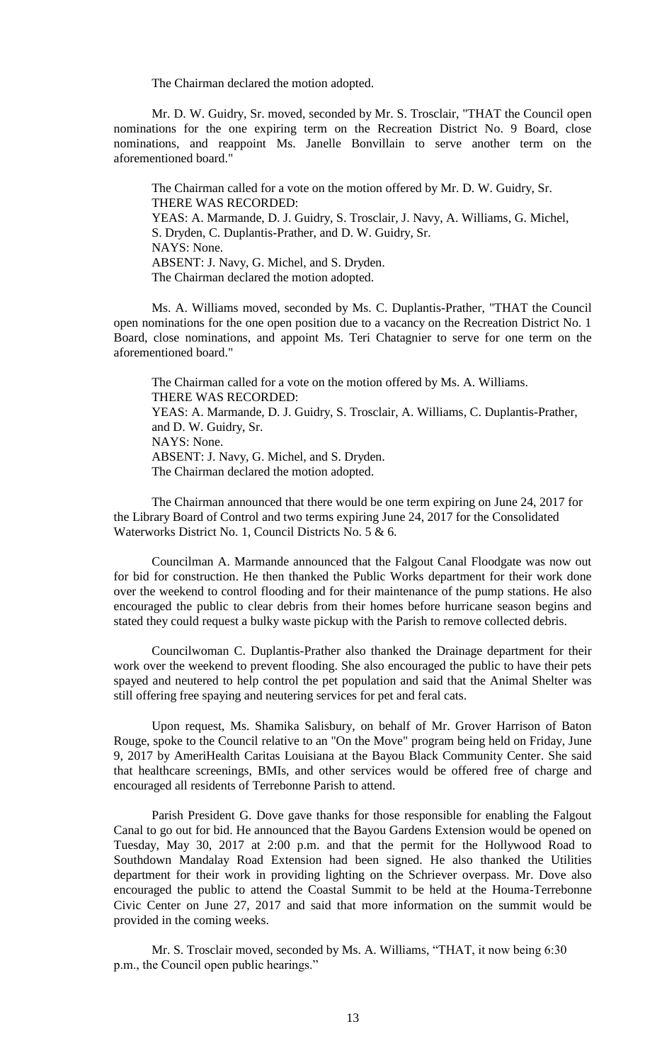The Chairman declared the motion adopted.

Mr. D. W. Guidry, Sr. moved, seconded by Mr. S. Trosclair, "THAT the Council open nominations for the one expiring term on the Recreation District No. 9 Board, close nominations, and reappoint Ms. Janelle Bonvillain to serve another term on the aforementioned board."

The Chairman called for a vote on the motion offered by Mr. D. W. Guidry, Sr. THERE WAS RECORDED: YEAS: A. Marmande, D. J. Guidry, S. Trosclair, J. Navy, A. Williams, G. Michel, S. Dryden, C. Duplantis-Prather, and D. W. Guidry, Sr. NAYS: None. ABSENT: J. Navy, G. Michel, and S. Dryden. The Chairman declared the motion adopted.

Ms. A. Williams moved, seconded by Ms. C. Duplantis-Prather, "THAT the Council open nominations for the one open position due to a vacancy on the Recreation District No. 1 Board, close nominations, and appoint Ms. Teri Chatagnier to serve for one term on the aforementioned board."

The Chairman called for a vote on the motion offered by Ms. A. Williams. THERE WAS RECORDED: YEAS: A. Marmande, D. J. Guidry, S. Trosclair, A. Williams, C. Duplantis-Prather, and D. W. Guidry, Sr. NAYS: None. ABSENT: J. Navy, G. Michel, and S. Dryden. The Chairman declared the motion adopted.

The Chairman announced that there would be one term expiring on June 24, 2017 for the Library Board of Control and two terms expiring June 24, 2017 for the Consolidated Waterworks District No. 1, Council Districts No. 5 & 6.

Councilman A. Marmande announced that the Falgout Canal Floodgate was now out for bid for construction. He then thanked the Public Works department for their work done over the weekend to control flooding and for their maintenance of the pump stations. He also encouraged the public to clear debris from their homes before hurricane season begins and stated they could request a bulky waste pickup with the Parish to remove collected debris.

Councilwoman C. Duplantis-Prather also thanked the Drainage department for their work over the weekend to prevent flooding. She also encouraged the public to have their pets spayed and neutered to help control the pet population and said that the Animal Shelter was still offering free spaying and neutering services for pet and feral cats.

Upon request, Ms. Shamika Salisbury, on behalf of Mr. Grover Harrison of Baton Rouge, spoke to the Council relative to an "On the Move" program being held on Friday, June 9, 2017 by AmeriHealth Caritas Louisiana at the Bayou Black Community Center. She said that healthcare screenings, BMIs, and other services would be offered free of charge and encouraged all residents of Terrebonne Parish to attend.

Parish President G. Dove gave thanks for those responsible for enabling the Falgout Canal to go out for bid. He announced that the Bayou Gardens Extension would be opened on Tuesday, May 30, 2017 at 2:00 p.m. and that the permit for the Hollywood Road to Southdown Mandalay Road Extension had been signed. He also thanked the Utilities department for their work in providing lighting on the Schriever overpass. Mr. Dove also encouraged the public to attend the Coastal Summit to be held at the Houma-Terrebonne Civic Center on June 27, 2017 and said that more information on the summit would be provided in the coming weeks.

Mr. S. Trosclair moved, seconded by Ms. A. Williams, "THAT, it now being 6:30 p.m., the Council open public hearings."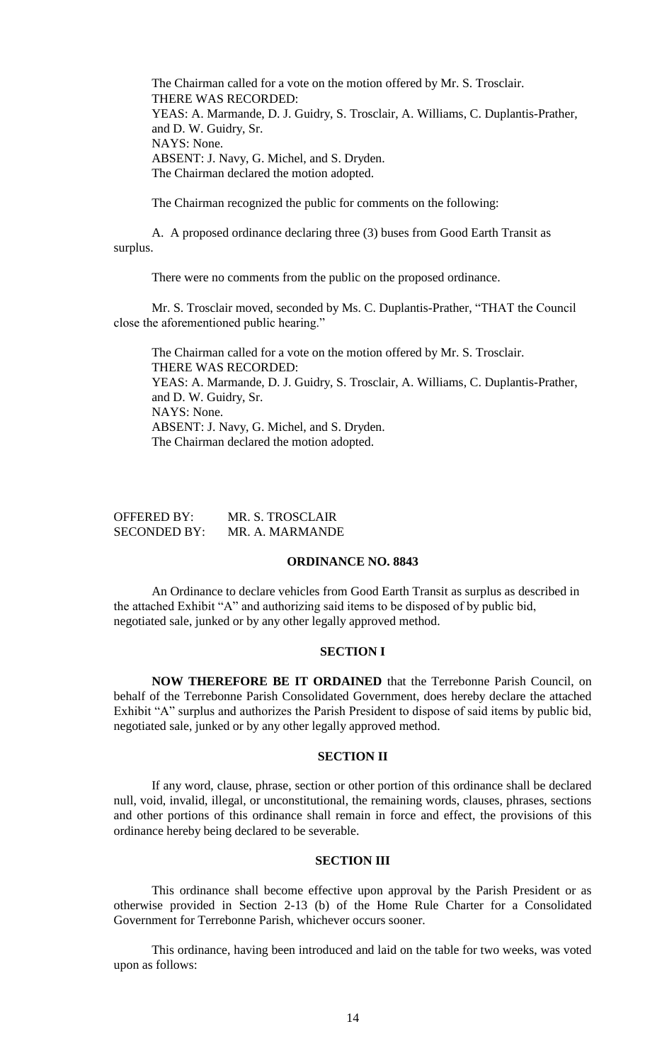The Chairman called for a vote on the motion offered by Mr. S. Trosclair. THERE WAS RECORDED: YEAS: A. Marmande, D. J. Guidry, S. Trosclair, A. Williams, C. Duplantis-Prather, and D. W. Guidry, Sr. NAYS: None. ABSENT: J. Navy, G. Michel, and S. Dryden. The Chairman declared the motion adopted.

The Chairman recognized the public for comments on the following:

A. A proposed ordinance declaring three (3) buses from Good Earth Transit as surplus.

There were no comments from the public on the proposed ordinance.

Mr. S. Trosclair moved, seconded by Ms. C. Duplantis-Prather, "THAT the Council close the aforementioned public hearing."

The Chairman called for a vote on the motion offered by Mr. S. Trosclair. THERE WAS RECORDED: YEAS: A. Marmande, D. J. Guidry, S. Trosclair, A. Williams, C. Duplantis-Prather, and D. W. Guidry, Sr. NAYS: None. ABSENT: J. Navy, G. Michel, and S. Dryden. The Chairman declared the motion adopted.

| OFFERED BY:         | MR. S. TROSCLAIR |
|---------------------|------------------|
| <b>SECONDED BY:</b> | MR. A. MARMANDE  |

## **ORDINANCE NO. 8843**

An Ordinance to declare vehicles from Good Earth Transit as surplus as described in the attached Exhibit "A" and authorizing said items to be disposed of by public bid, negotiated sale, junked or by any other legally approved method.

## **SECTION I**

**NOW THEREFORE BE IT ORDAINED** that the Terrebonne Parish Council, on behalf of the Terrebonne Parish Consolidated Government, does hereby declare the attached Exhibit "A" surplus and authorizes the Parish President to dispose of said items by public bid, negotiated sale, junked or by any other legally approved method.

## **SECTION II**

If any word, clause, phrase, section or other portion of this ordinance shall be declared null, void, invalid, illegal, or unconstitutional, the remaining words, clauses, phrases, sections and other portions of this ordinance shall remain in force and effect, the provisions of this ordinance hereby being declared to be severable.

## **SECTION III**

This ordinance shall become effective upon approval by the Parish President or as otherwise provided in Section 2-13 (b) of the Home Rule Charter for a Consolidated Government for Terrebonne Parish, whichever occurs sooner.

This ordinance, having been introduced and laid on the table for two weeks, was voted upon as follows: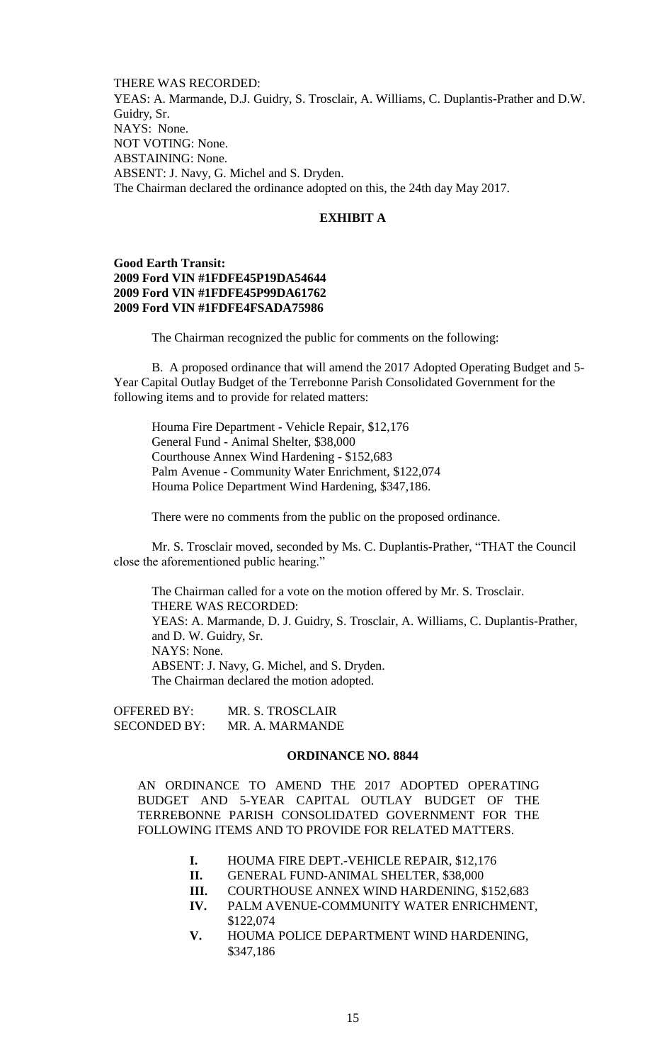THERE WAS RECORDED: YEAS: A. Marmande, D.J. Guidry, S. Trosclair, A. Williams, C. Duplantis-Prather and D.W. Guidry, Sr. NAYS: None. NOT VOTING: None. ABSTAINING: None. ABSENT: J. Navy, G. Michel and S. Dryden. The Chairman declared the ordinance adopted on this, the 24th day May 2017.

## **EXHIBIT A**

# **Good Earth Transit: 2009 Ford VIN #1FDFE45P19DA54644 2009 Ford VIN #1FDFE45P99DA61762 2009 Ford VIN #1FDFE4FSADA75986**

The Chairman recognized the public for comments on the following:

B. A proposed ordinance that will amend the 2017 Adopted Operating Budget and 5- Year Capital Outlay Budget of the Terrebonne Parish Consolidated Government for the following items and to provide for related matters:

Houma Fire Department - Vehicle Repair, \$12,176 General Fund - Animal Shelter, \$38,000 Courthouse Annex Wind Hardening - \$152,683 Palm Avenue - Community Water Enrichment, \$122,074 Houma Police Department Wind Hardening, \$347,186.

There were no comments from the public on the proposed ordinance.

Mr. S. Trosclair moved, seconded by Ms. C. Duplantis-Prather, "THAT the Council close the aforementioned public hearing."

The Chairman called for a vote on the motion offered by Mr. S. Trosclair. THERE WAS RECORDED: YEAS: A. Marmande, D. J. Guidry, S. Trosclair, A. Williams, C. Duplantis-Prather, and D. W. Guidry, Sr. NAYS: None. ABSENT: J. Navy, G. Michel, and S. Dryden. The Chairman declared the motion adopted.

OFFERED BY: MR. S. TROSCLAIR SECONDED BY: MR. A. MARMANDE

#### **ORDINANCE NO. 8844**

AN ORDINANCE TO AMEND THE 2017 ADOPTED OPERATING BUDGET AND 5-YEAR CAPITAL OUTLAY BUDGET OF THE TERREBONNE PARISH CONSOLIDATED GOVERNMENT FOR THE FOLLOWING ITEMS AND TO PROVIDE FOR RELATED MATTERS.

- **I.** HOUMA FIRE DEPT.-VEHICLE REPAIR, \$12,176
- **II.** GENERAL FUND-ANIMAL SHELTER, \$38,000
- **III.** COURTHOUSE ANNEX WIND HARDENING, \$152,683
- **IV.** PALM AVENUE-COMMUNITY WATER ENRICHMENT, \$122,074
- **V.** HOUMA POLICE DEPARTMENT WIND HARDENING, \$347,186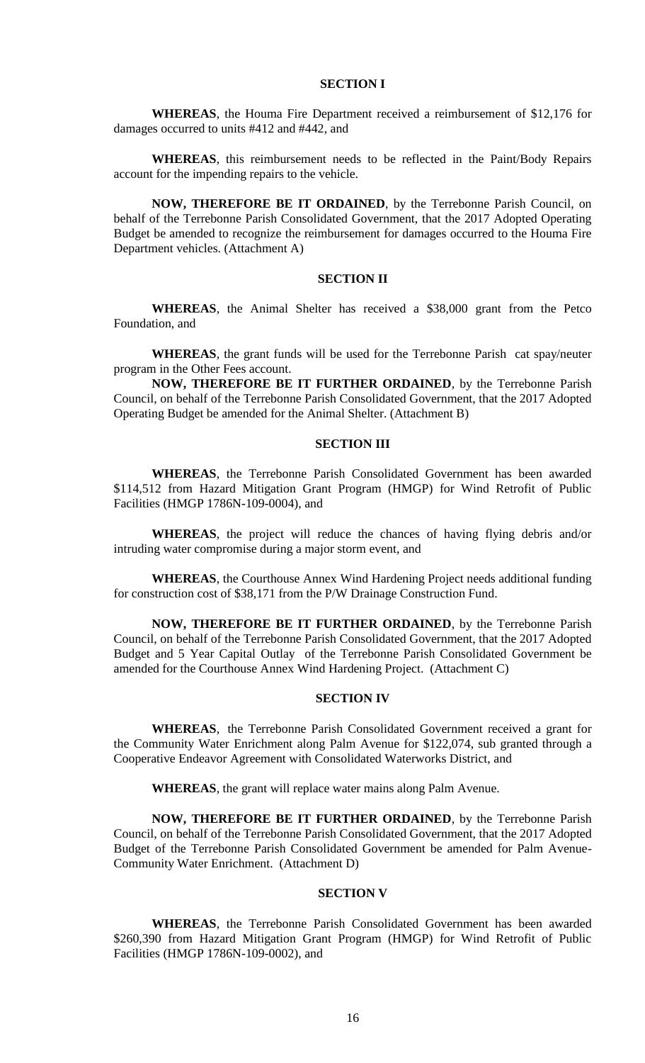### **SECTION I**

**WHEREAS**, the Houma Fire Department received a reimbursement of \$12,176 for damages occurred to units #412 and #442, and

**WHEREAS**, this reimbursement needs to be reflected in the Paint/Body Repairs account for the impending repairs to the vehicle.

**NOW, THEREFORE BE IT ORDAINED**, by the Terrebonne Parish Council, on behalf of the Terrebonne Parish Consolidated Government, that the 2017 Adopted Operating Budget be amended to recognize the reimbursement for damages occurred to the Houma Fire Department vehicles. (Attachment A)

#### **SECTION II**

**WHEREAS**, the Animal Shelter has received a \$38,000 grant from the Petco Foundation, and

**WHEREAS**, the grant funds will be used for the Terrebonne Parish cat spay/neuter program in the Other Fees account.

**NOW, THEREFORE BE IT FURTHER ORDAINED**, by the Terrebonne Parish Council, on behalf of the Terrebonne Parish Consolidated Government, that the 2017 Adopted Operating Budget be amended for the Animal Shelter. (Attachment B)

#### **SECTION III**

**WHEREAS**, the Terrebonne Parish Consolidated Government has been awarded \$114,512 from Hazard Mitigation Grant Program (HMGP) for Wind Retrofit of Public Facilities (HMGP 1786N-109-0004), and

**WHEREAS**, the project will reduce the chances of having flying debris and/or intruding water compromise during a major storm event, and

**WHEREAS**, the Courthouse Annex Wind Hardening Project needs additional funding for construction cost of \$38,171 from the P/W Drainage Construction Fund.

**NOW, THEREFORE BE IT FURTHER ORDAINED**, by the Terrebonne Parish Council, on behalf of the Terrebonne Parish Consolidated Government, that the 2017 Adopted Budget and 5 Year Capital Outlay of the Terrebonne Parish Consolidated Government be amended for the Courthouse Annex Wind Hardening Project. (Attachment C)

### **SECTION IV**

**WHEREAS**, the Terrebonne Parish Consolidated Government received a grant for the Community Water Enrichment along Palm Avenue for \$122,074, sub granted through a Cooperative Endeavor Agreement with Consolidated Waterworks District, and

**WHEREAS**, the grant will replace water mains along Palm Avenue.

**NOW, THEREFORE BE IT FURTHER ORDAINED**, by the Terrebonne Parish Council, on behalf of the Terrebonne Parish Consolidated Government, that the 2017 Adopted Budget of the Terrebonne Parish Consolidated Government be amended for Palm Avenue-Community Water Enrichment. (Attachment D)

#### **SECTION V**

**WHEREAS**, the Terrebonne Parish Consolidated Government has been awarded \$260,390 from Hazard Mitigation Grant Program (HMGP) for Wind Retrofit of Public Facilities (HMGP 1786N-109-0002), and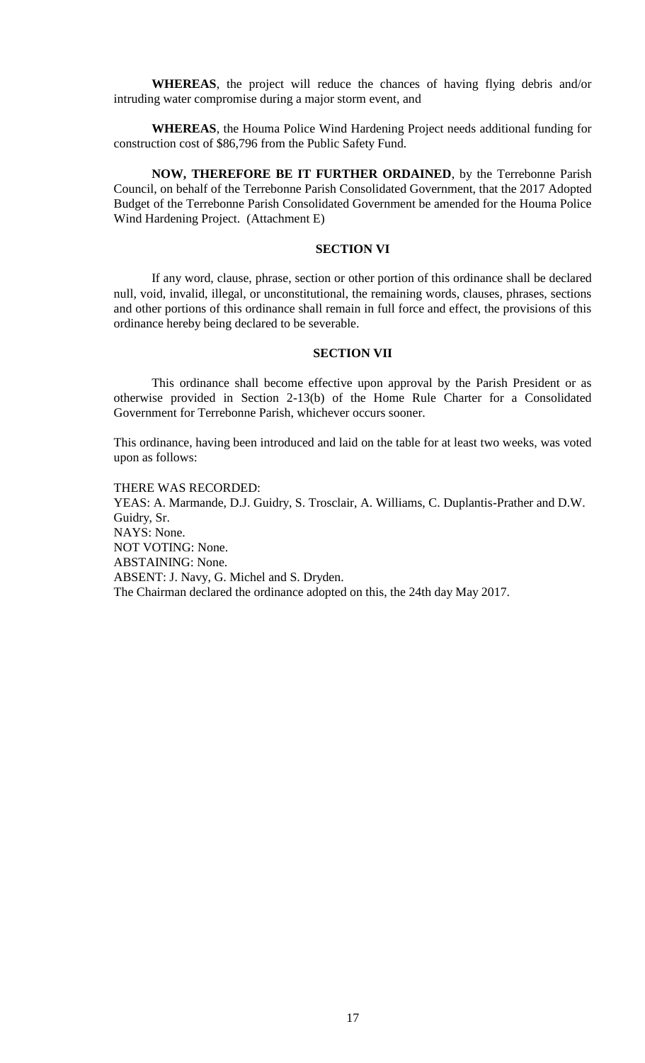**WHEREAS**, the project will reduce the chances of having flying debris and/or intruding water compromise during a major storm event, and

**WHEREAS**, the Houma Police Wind Hardening Project needs additional funding for construction cost of \$86,796 from the Public Safety Fund.

**NOW, THEREFORE BE IT FURTHER ORDAINED**, by the Terrebonne Parish Council, on behalf of the Terrebonne Parish Consolidated Government, that the 2017 Adopted Budget of the Terrebonne Parish Consolidated Government be amended for the Houma Police Wind Hardening Project. (Attachment E)

# **SECTION VI**

If any word, clause, phrase, section or other portion of this ordinance shall be declared null, void, invalid, illegal, or unconstitutional, the remaining words, clauses, phrases, sections and other portions of this ordinance shall remain in full force and effect, the provisions of this ordinance hereby being declared to be severable.

#### **SECTION VII**

This ordinance shall become effective upon approval by the Parish President or as otherwise provided in Section 2-13(b) of the Home Rule Charter for a Consolidated Government for Terrebonne Parish, whichever occurs sooner.

This ordinance, having been introduced and laid on the table for at least two weeks, was voted upon as follows:

THERE WAS RECORDED: YEAS: A. Marmande, D.J. Guidry, S. Trosclair, A. Williams, C. Duplantis-Prather and D.W. Guidry, Sr. NAYS: None. NOT VOTING: None. ABSTAINING: None. ABSENT: J. Navy, G. Michel and S. Dryden. The Chairman declared the ordinance adopted on this, the 24th day May 2017.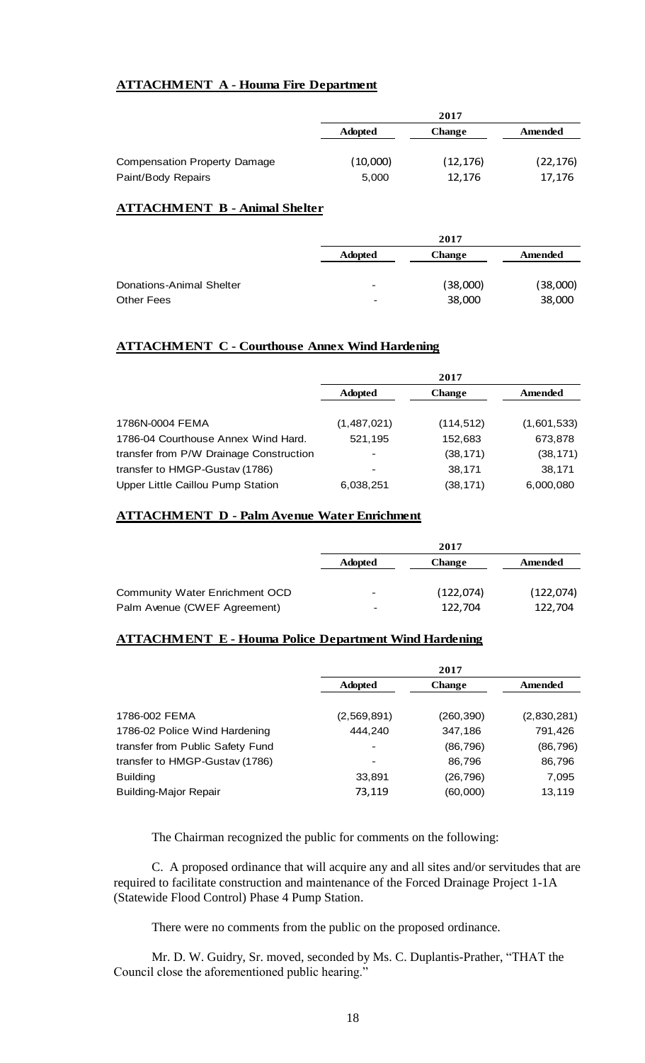# **ATTACHMENT A - Houma Fire Department**

|                                     | 2017           |               |           |
|-------------------------------------|----------------|---------------|-----------|
|                                     | <b>Adopted</b> | <b>Change</b> | Amended   |
|                                     |                |               |           |
| <b>Compensation Property Damage</b> | (10,000)       | (12, 176)     | (22, 176) |
| Paint/Body Repairs                  | 5,000          | 12,176        | 17,176    |

# **ATTACHMENT B - Animal Shelter**

| 2017     |  |  |
|----------|--|--|
| Amended  |  |  |
|          |  |  |
| (38,000) |  |  |
| 38,000   |  |  |
|          |  |  |

# **ATTACHMENT C - Courthouse Annex Wind Hardening**

|                                         | 2017           |               |             |
|-----------------------------------------|----------------|---------------|-------------|
|                                         | <b>Adopted</b> | <b>Change</b> | Amended     |
|                                         |                |               |             |
| 1786N-0004 FEMA                         | (1,487,021)    | (114, 512)    | (1,601,533) |
| 1786-04 Courthouse Annex Wind Hard.     | 521,195        | 152,683       | 673,878     |
| transfer from P/W Drainage Construction |                | (38, 171)     | (38, 171)   |
| transfer to HMGP-Gustav (1786)          |                | 38,171        | 38,171      |
| Upper Little Caillou Pump Station       | 6,038,251      | (38, 171)     | 6,000,080   |

# **ATTACHMENT D - Palm Avenue Water Enrichment**

|                                | 2017                     |               |            |
|--------------------------------|--------------------------|---------------|------------|
|                                | <b>Adopted</b>           | <b>Change</b> | Amended    |
| Community Water Enrichment OCD |                          | (122, 074)    | (122, 074) |
| Palm Avenue (CWEF Agreement)   | $\overline{\phantom{0}}$ | 122,704       | 122,704    |

# **ATTACHMENT E - Houma Police Department Wind Hardening**

|                                  | 2017           |               |             |
|----------------------------------|----------------|---------------|-------------|
|                                  | <b>Adopted</b> | <b>Change</b> | Amended     |
| 1786-002 FEMA                    | (2,569,891)    | (260, 390)    | (2,830,281) |
| 1786-02 Police Wind Hardening    | 444,240        | 347,186       | 791,426     |
| transfer from Public Safety Fund |                | (86, 796)     | (86, 796)   |
| transfer to HMGP-Gustav (1786)   |                | 86,796        | 86,796      |
| <b>Building</b>                  | 33,891         | (26, 796)     | 7,095       |
| <b>Building-Major Repair</b>     | 73,119         | (60,000)      | 13,119      |

The Chairman recognized the public for comments on the following:

C. A proposed ordinance that will acquire any and all sites and/or servitudes that are required to facilitate construction and maintenance of the Forced Drainage Project 1-1A (Statewide Flood Control) Phase 4 Pump Station.

There were no comments from the public on the proposed ordinance.

Mr. D. W. Guidry, Sr. moved, seconded by Ms. C. Duplantis-Prather, "THAT the Council close the aforementioned public hearing."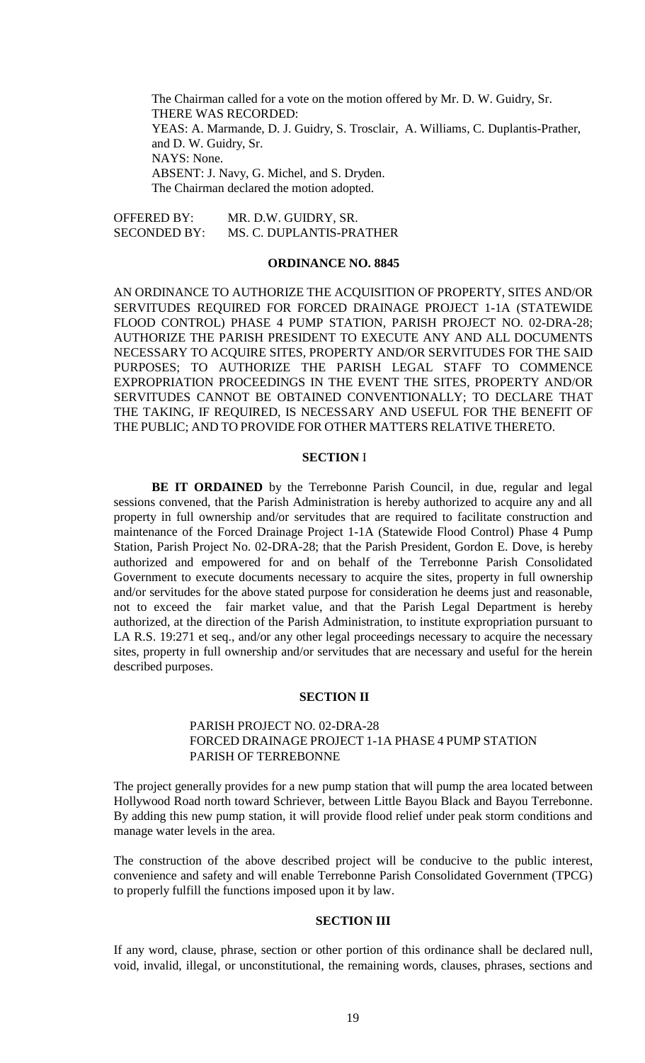The Chairman called for a vote on the motion offered by Mr. D. W. Guidry, Sr. THERE WAS RECORDED: YEAS: A. Marmande, D. J. Guidry, S. Trosclair, A. Williams, C. Duplantis-Prather, and D. W. Guidry, Sr. NAYS: None. ABSENT: J. Navy, G. Michel, and S. Dryden. The Chairman declared the motion adopted.

OFFERED BY: MR. D.W. GUIDRY, SR. SECONDED BY: MS. C. DUPLANTIS-PRATHER

#### **ORDINANCE NO. 8845**

AN ORDINANCE TO AUTHORIZE THE ACQUISITION OF PROPERTY, SITES AND/OR SERVITUDES REQUIRED FOR FORCED DRAINAGE PROJECT 1-1A (STATEWIDE FLOOD CONTROL) PHASE 4 PUMP STATION, PARISH PROJECT NO. 02-DRA-28; AUTHORIZE THE PARISH PRESIDENT TO EXECUTE ANY AND ALL DOCUMENTS NECESSARY TO ACQUIRE SITES, PROPERTY AND/OR SERVITUDES FOR THE SAID PURPOSES; TO AUTHORIZE THE PARISH LEGAL STAFF TO COMMENCE EXPROPRIATION PROCEEDINGS IN THE EVENT THE SITES, PROPERTY AND/OR SERVITUDES CANNOT BE OBTAINED CONVENTIONALLY; TO DECLARE THAT THE TAKING, IF REQUIRED, IS NECESSARY AND USEFUL FOR THE BENEFIT OF THE PUBLIC; AND TO PROVIDE FOR OTHER MATTERS RELATIVE THERETO.

#### **SECTION** I

**BE IT ORDAINED** by the Terrebonne Parish Council, in due, regular and legal sessions convened, that the Parish Administration is hereby authorized to acquire any and all property in full ownership and/or servitudes that are required to facilitate construction and maintenance of the Forced Drainage Project 1-1A (Statewide Flood Control) Phase 4 Pump Station, Parish Project No. 02-DRA-28; that the Parish President, Gordon E. Dove, is hereby authorized and empowered for and on behalf of the Terrebonne Parish Consolidated Government to execute documents necessary to acquire the sites, property in full ownership and/or servitudes for the above stated purpose for consideration he deems just and reasonable, not to exceed the fair market value, and that the Parish Legal Department is hereby authorized, at the direction of the Parish Administration, to institute expropriation pursuant to LA R.S. 19:271 et seq., and/or any other legal proceedings necessary to acquire the necessary sites, property in full ownership and/or servitudes that are necessary and useful for the herein described purposes.

#### **SECTION II**

## PARISH PROJECT NO. 02-DRA-28 FORCED DRAINAGE PROJECT 1-1A PHASE 4 PUMP STATION PARISH OF TERREBONNE

The project generally provides for a new pump station that will pump the area located between Hollywood Road north toward Schriever, between Little Bayou Black and Bayou Terrebonne. By adding this new pump station, it will provide flood relief under peak storm conditions and manage water levels in the area.

The construction of the above described project will be conducive to the public interest, convenience and safety and will enable Terrebonne Parish Consolidated Government (TPCG) to properly fulfill the functions imposed upon it by law.

## **SECTION III**

If any word, clause, phrase, section or other portion of this ordinance shall be declared null, void, invalid, illegal, or unconstitutional, the remaining words, clauses, phrases, sections and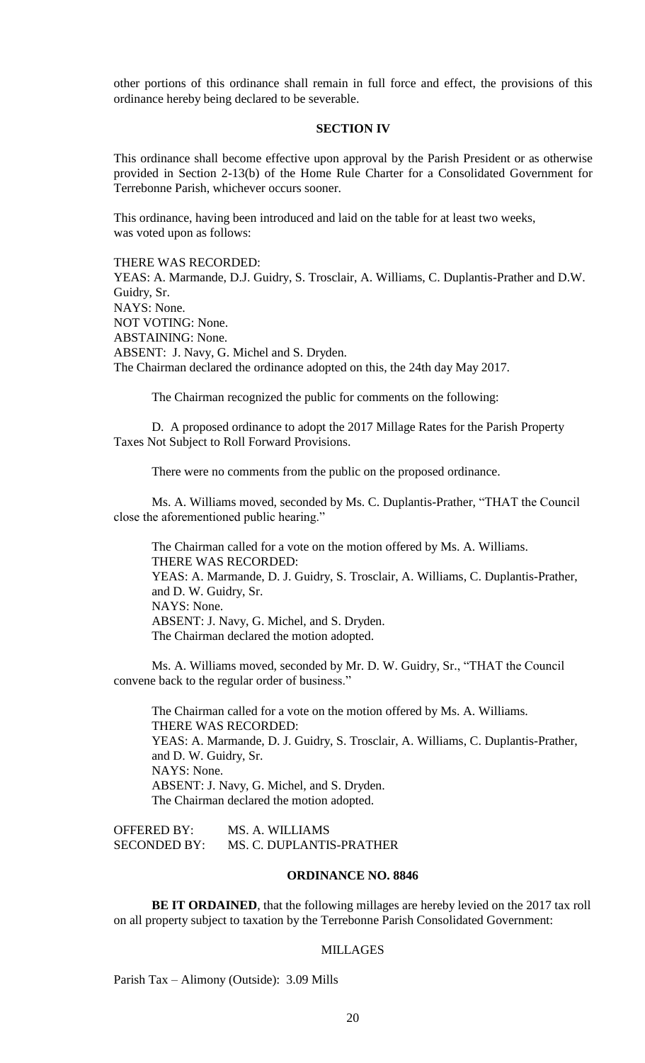other portions of this ordinance shall remain in full force and effect, the provisions of this ordinance hereby being declared to be severable.

#### **SECTION IV**

This ordinance shall become effective upon approval by the Parish President or as otherwise provided in Section 2-13(b) of the Home Rule Charter for a Consolidated Government for Terrebonne Parish, whichever occurs sooner.

This ordinance, having been introduced and laid on the table for at least two weeks, was voted upon as follows:

THERE WAS RECORDED:

YEAS: A. Marmande, D.J. Guidry, S. Trosclair, A. Williams, C. Duplantis-Prather and D.W. Guidry, Sr. NAYS: None. NOT VOTING: None. ABSTAINING: None. ABSENT: J. Navy, G. Michel and S. Dryden. The Chairman declared the ordinance adopted on this, the 24th day May 2017.

The Chairman recognized the public for comments on the following:

D. A proposed ordinance to adopt the 2017 Millage Rates for the Parish Property Taxes Not Subject to Roll Forward Provisions.

There were no comments from the public on the proposed ordinance.

Ms. A. Williams moved, seconded by Ms. C. Duplantis-Prather, "THAT the Council close the aforementioned public hearing."

The Chairman called for a vote on the motion offered by Ms. A. Williams. THERE WAS RECORDED: YEAS: A. Marmande, D. J. Guidry, S. Trosclair, A. Williams, C. Duplantis-Prather, and D. W. Guidry, Sr. NAYS: None. ABSENT: J. Navy, G. Michel, and S. Dryden. The Chairman declared the motion adopted.

Ms. A. Williams moved, seconded by Mr. D. W. Guidry, Sr., "THAT the Council convene back to the regular order of business."

The Chairman called for a vote on the motion offered by Ms. A. Williams. THERE WAS RECORDED: YEAS: A. Marmande, D. J. Guidry, S. Trosclair, A. Williams, C. Duplantis-Prather, and D. W. Guidry, Sr. NAYS: None. ABSENT: J. Navy, G. Michel, and S. Dryden. The Chairman declared the motion adopted.

OFFERED BY: MS. A. WILLIAMS<br>SECONDED BY: MS. C. DUPLANTI MS. C. DUPLANTIS-PRATHER

## **ORDINANCE NO. 8846**

**BE IT ORDAINED**, that the following millages are hereby levied on the 2017 tax roll on all property subject to taxation by the Terrebonne Parish Consolidated Government:

#### MILLAGES

Parish Tax – Alimony (Outside): 3.09 Mills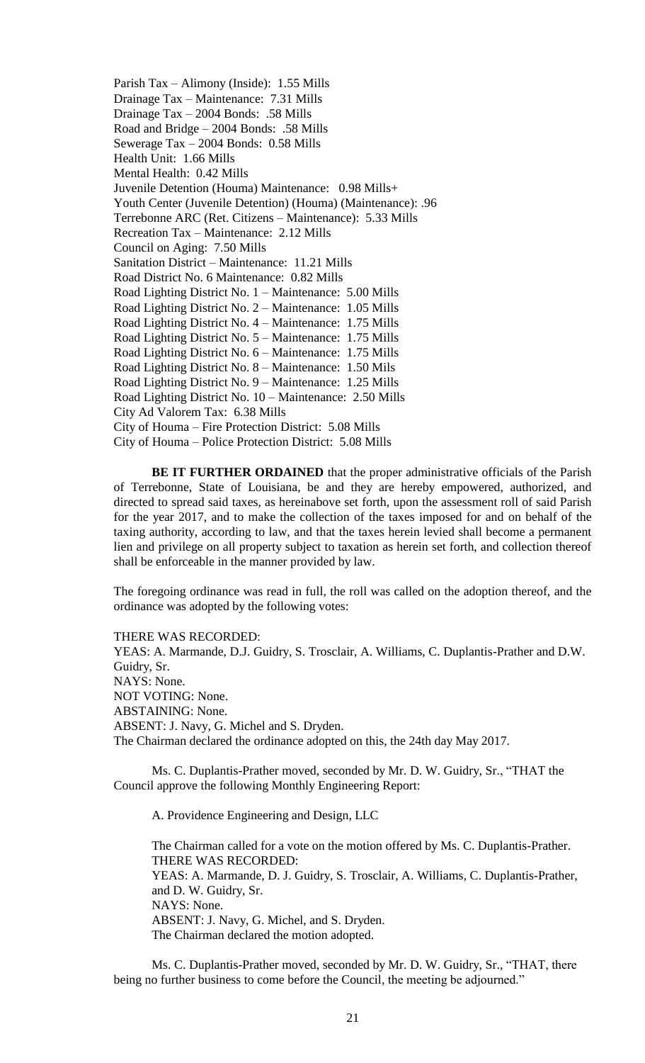Parish Tax – Alimony (Inside): 1.55 Mills Drainage Tax – Maintenance: 7.31 Mills Drainage Tax – 2004 Bonds: .58 Mills Road and Bridge – 2004 Bonds: .58 Mills Sewerage Tax – 2004 Bonds: 0.58 Mills Health Unit: 1.66 Mills Mental Health: 0.42 Mills Juvenile Detention (Houma) Maintenance: 0.98 Mills+ Youth Center (Juvenile Detention) (Houma) (Maintenance): .96 Terrebonne ARC (Ret. Citizens – Maintenance): 5.33 Mills Recreation Tax – Maintenance: 2.12 Mills Council on Aging: 7.50 Mills Sanitation District – Maintenance: 11.21 Mills Road District No. 6 Maintenance: 0.82 Mills Road Lighting District No. 1 – Maintenance: 5.00 Mills Road Lighting District No. 2 – Maintenance: 1.05 Mills Road Lighting District No. 4 – Maintenance: 1.75 Mills Road Lighting District No. 5 – Maintenance: 1.75 Mills Road Lighting District No. 6 – Maintenance: 1.75 Mills Road Lighting District No. 8 – Maintenance: 1.50 Mils Road Lighting District No. 9 – Maintenance: 1.25 Mills Road Lighting District No. 10 – Maintenance: 2.50 Mills City Ad Valorem Tax: 6.38 Mills City of Houma – Fire Protection District: 5.08 Mills City of Houma – Police Protection District: 5.08 Mills

**BE IT FURTHER ORDAINED** that the proper administrative officials of the Parish of Terrebonne, State of Louisiana, be and they are hereby empowered, authorized, and directed to spread said taxes, as hereinabove set forth, upon the assessment roll of said Parish for the year 2017, and to make the collection of the taxes imposed for and on behalf of the taxing authority, according to law, and that the taxes herein levied shall become a permanent lien and privilege on all property subject to taxation as herein set forth, and collection thereof shall be enforceable in the manner provided by law.

The foregoing ordinance was read in full, the roll was called on the adoption thereof, and the ordinance was adopted by the following votes:

THERE WAS RECORDED: YEAS: A. Marmande, D.J. Guidry, S. Trosclair, A. Williams, C. Duplantis-Prather and D.W. Guidry, Sr. NAYS: None. NOT VOTING: None. ABSTAINING: None. ABSENT: J. Navy, G. Michel and S. Dryden.

The Chairman declared the ordinance adopted on this, the 24th day May 2017.

Ms. C. Duplantis-Prather moved, seconded by Mr. D. W. Guidry, Sr., "THAT the

Council approve the following Monthly Engineering Report:

A. Providence Engineering and Design, LLC

The Chairman called for a vote on the motion offered by Ms. C. Duplantis-Prather. THERE WAS RECORDED: YEAS: A. Marmande, D. J. Guidry, S. Trosclair, A. Williams, C. Duplantis-Prather, and D. W. Guidry, Sr. NAYS: None. ABSENT: J. Navy, G. Michel, and S. Dryden. The Chairman declared the motion adopted.

Ms. C. Duplantis-Prather moved, seconded by Mr. D. W. Guidry, Sr., "THAT, there being no further business to come before the Council, the meeting be adjourned."